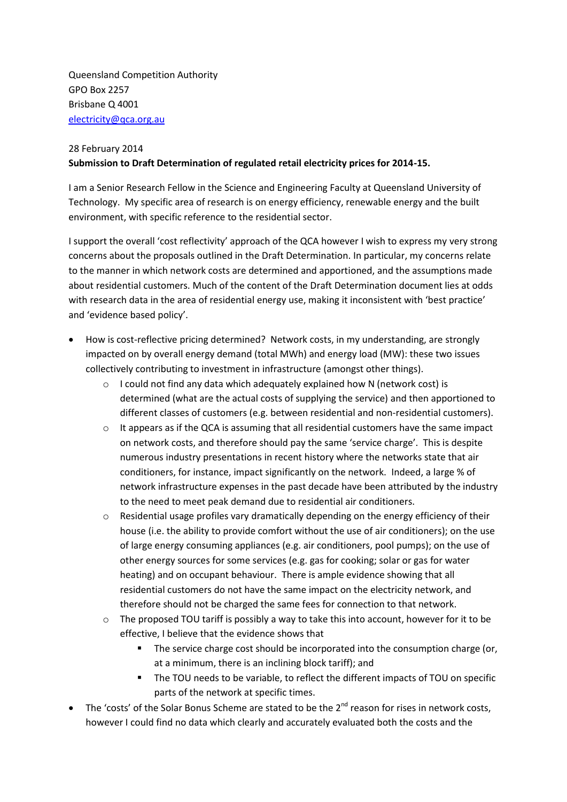Queensland Competition Authority GPO Box 2257 Brisbane Q 4001 [electricity@qca.org.au](mailto:electricity@qca.org.au)

## 28 February 2014

## **Submission to Draft Determination of regulated retail electricity prices for 2014-15.**

I am a Senior Research Fellow in the Science and Engineering Faculty at Queensland University of Technology. My specific area of research is on energy efficiency, renewable energy and the built environment, with specific reference to the residential sector.

I support the overall 'cost reflectivity' approach of the QCA however I wish to express my very strong concerns about the proposals outlined in the Draft Determination. In particular, my concerns relate to the manner in which network costs are determined and apportioned, and the assumptions made about residential customers. Much of the content of the Draft Determination document lies at odds with research data in the area of residential energy use, making it inconsistent with 'best practice' and 'evidence based policy'.

- How is cost-reflective pricing determined? Network costs, in my understanding, are strongly impacted on by overall energy demand (total MWh) and energy load (MW): these two issues collectively contributing to investment in infrastructure (amongst other things).
	- o I could not find any data which adequately explained how N (network cost) is determined (what are the actual costs of supplying the service) and then apportioned to different classes of customers (e.g. between residential and non-residential customers).
	- $\circ$  It appears as if the QCA is assuming that all residential customers have the same impact on network costs, and therefore should pay the same 'service charge'. This is despite numerous industry presentations in recent history where the networks state that air conditioners, for instance, impact significantly on the network. Indeed, a large % of network infrastructure expenses in the past decade have been attributed by the industry to the need to meet peak demand due to residential air conditioners.
	- $\circ$  Residential usage profiles vary dramatically depending on the energy efficiency of their house (i.e. the ability to provide comfort without the use of air conditioners); on the use of large energy consuming appliances (e.g. air conditioners, pool pumps); on the use of other energy sources for some services (e.g. gas for cooking; solar or gas for water heating) and on occupant behaviour. There is ample evidence showing that all residential customers do not have the same impact on the electricity network, and therefore should not be charged the same fees for connection to that network.
	- o The proposed TOU tariff is possibly a way to take this into account, however for it to be effective, I believe that the evidence shows that
		- **The service charge cost should be incorporated into the consumption charge (or,** at a minimum, there is an inclining block tariff); and
		- The TOU needs to be variable, to reflect the different impacts of TOU on specific parts of the network at specific times.
- The 'costs' of the Solar Bonus Scheme are stated to be the  $2^{nd}$  reason for rises in network costs, however I could find no data which clearly and accurately evaluated both the costs and the